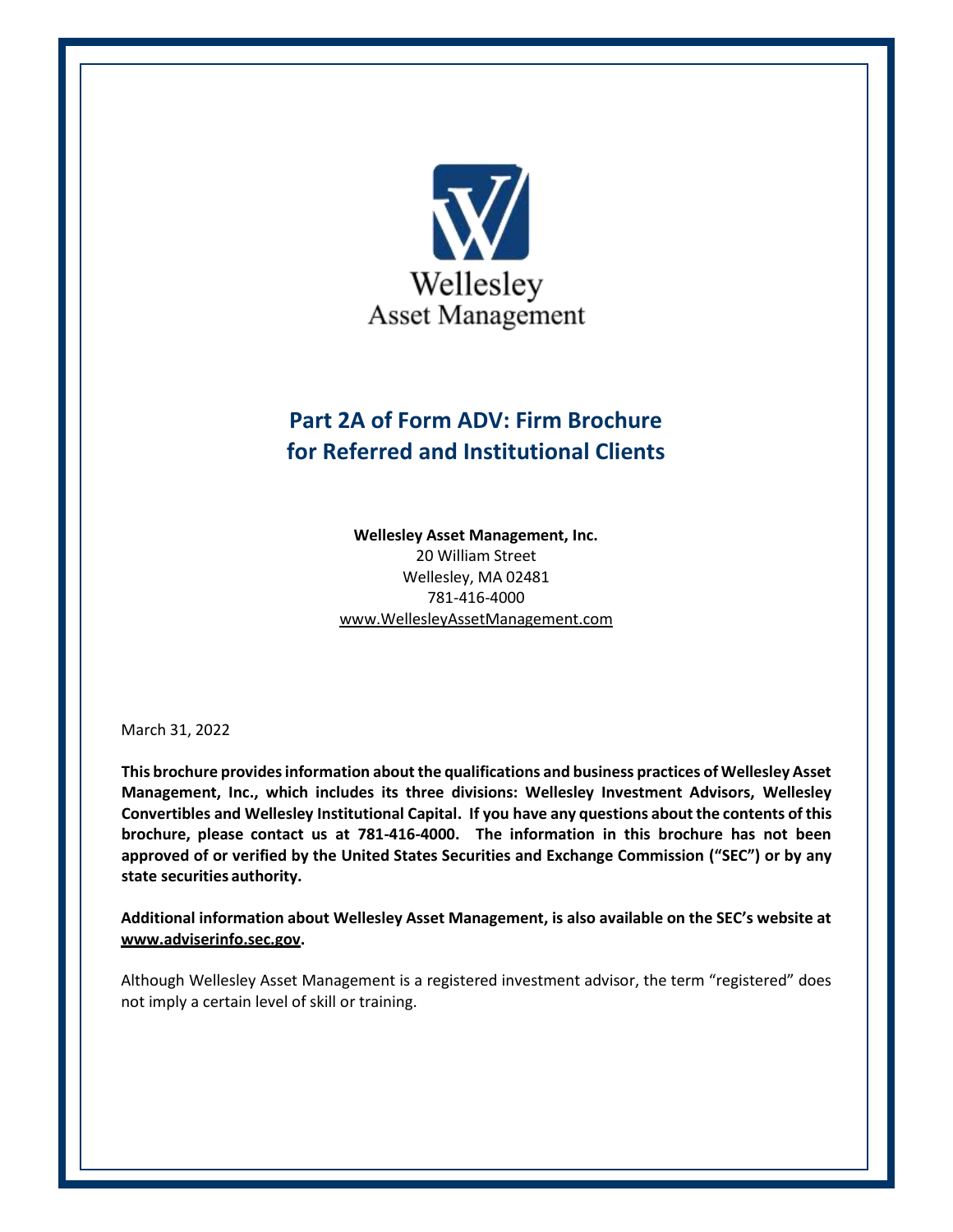

# **Part 2A of Form ADV: Firm Brochure for Referred and Institutional Clients**

**Wellesley Asset Management, Inc.** 20 William Street Wellesley, MA 02481 781-416-4000 www.WellesleyAssetManagement.com

March 31, 2022

**This brochure provides information about the qualifications and business practices of Wellesley Asset Management, Inc., which includes its three divisions: Wellesley Investment Advisors, Wellesley Convertibles and Wellesley Institutional Capital. If you have any questions about the contents of this brochure, please contact us at 781-416-4000. The information in this brochure has not been approved of or verified by the United States Securities and Exchange Commission ("SEC") or by any state securities authority.**

**Additional information about Wellesley Asset Management, is also available on the SEC's website at [www.adviserinfo.sec.gov.](http://www.adviserinfo.sec.gov/)**

Although Wellesley Asset Management is a registered investment advisor, the term "registered" does not imply a certain level of skill or training.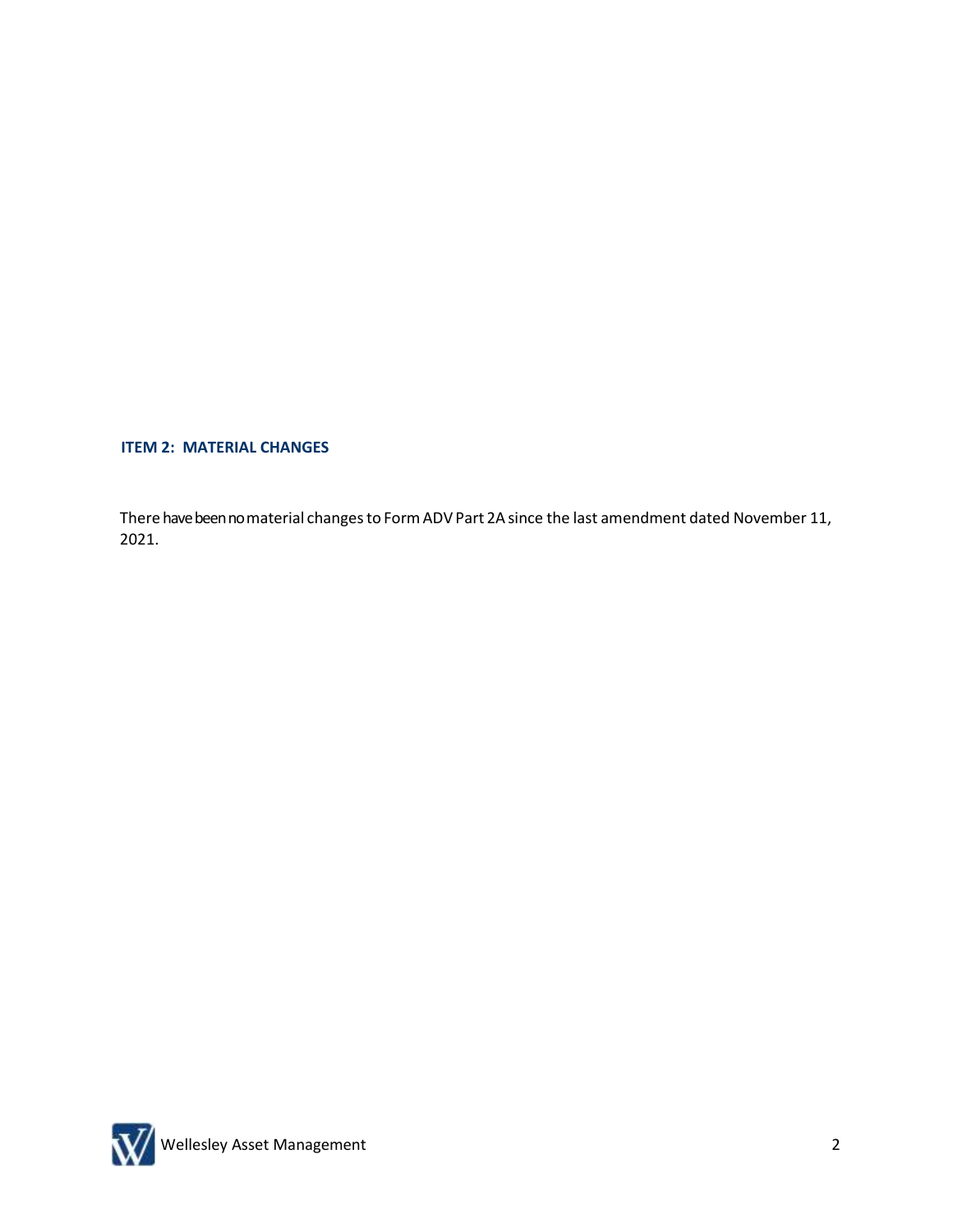**ITEM 2: MATERIAL CHANGES**

There have been no material changes to Form ADV Part 2A since the last amendment dated November 11, 2021.

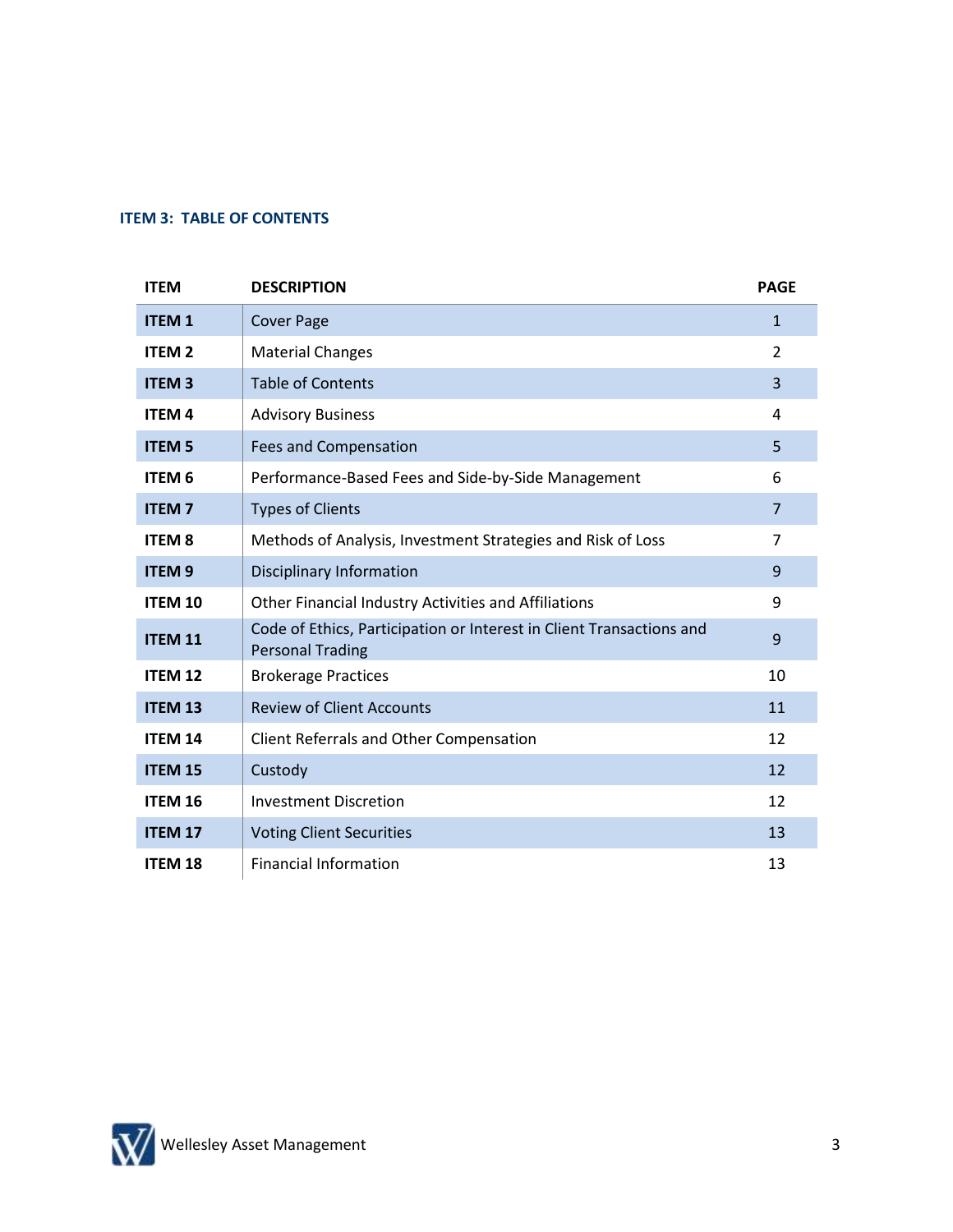## **ITEM 3: TABLE OF CONTENTS**

| <b>ITEM</b>    | <b>DESCRIPTION</b>                                                                              | <b>PAGE</b>    |
|----------------|-------------------------------------------------------------------------------------------------|----------------|
| <b>ITEM1</b>   | <b>Cover Page</b>                                                                               | $\mathbf{1}$   |
| <b>ITEM 2</b>  | <b>Material Changes</b>                                                                         | $\overline{2}$ |
| <b>ITEM3</b>   | <b>Table of Contents</b>                                                                        | 3              |
| <b>ITEM4</b>   | <b>Advisory Business</b>                                                                        | 4              |
| <b>ITEM 5</b>  | <b>Fees and Compensation</b>                                                                    | 5              |
| <b>ITEM 6</b>  | Performance-Based Fees and Side-by-Side Management                                              | 6              |
| <b>ITEM7</b>   | <b>Types of Clients</b>                                                                         | $\overline{7}$ |
| <b>ITEM 8</b>  | Methods of Analysis, Investment Strategies and Risk of Loss                                     | $\overline{7}$ |
| <b>ITEM9</b>   | <b>Disciplinary Information</b>                                                                 | 9              |
| <b>ITEM 10</b> | Other Financial Industry Activities and Affiliations                                            | 9              |
| <b>ITEM 11</b> | Code of Ethics, Participation or Interest in Client Transactions and<br><b>Personal Trading</b> | 9              |
| <b>ITEM 12</b> | <b>Brokerage Practices</b>                                                                      | 10             |
| <b>ITEM 13</b> | <b>Review of Client Accounts</b>                                                                | 11             |
| <b>ITEM 14</b> | Client Referrals and Other Compensation                                                         | 12             |
| <b>ITEM 15</b> | Custody                                                                                         | 12             |
| <b>ITEM 16</b> | <b>Investment Discretion</b>                                                                    | 12             |
| <b>ITEM 17</b> | <b>Voting Client Securities</b>                                                                 | 13             |
| <b>ITEM 18</b> | <b>Financial Information</b>                                                                    | 13             |

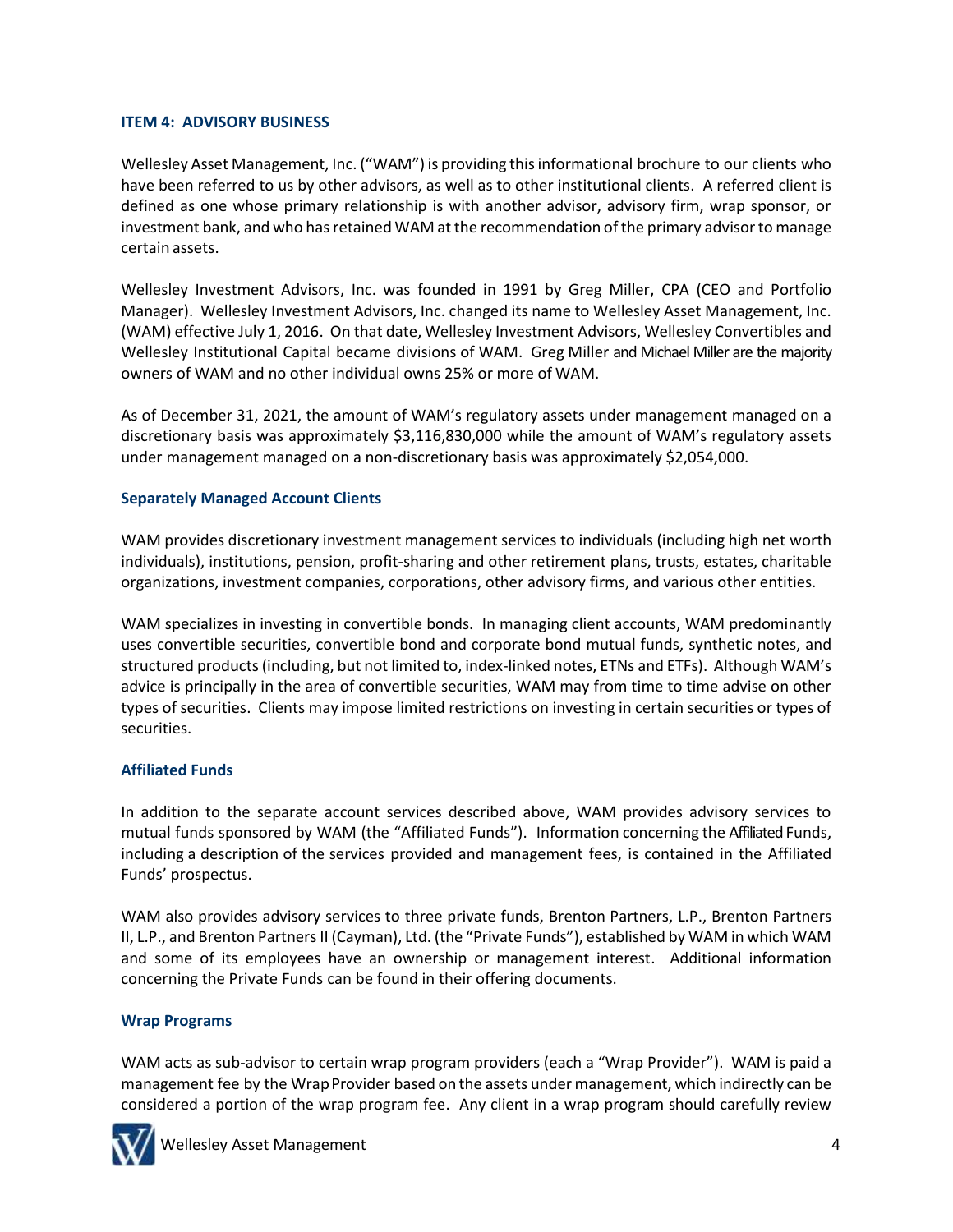# **ITEM 4: ADVISORY BUSINESS**

Wellesley Asset Management, Inc. ("WAM") is providing thisinformational brochure to our clients who have been referred to us by other advisors, as well as to other institutional clients. A referred client is defined as one whose primary relationship is with another advisor, advisory firm, wrap sponsor, or investment bank, and who has retained WAM at the recommendation of the primary advisor to manage certain assets.

Wellesley Investment Advisors, Inc. was founded in 1991 by Greg Miller, CPA (CEO and Portfolio Manager). Wellesley Investment Advisors, Inc. changed its name to Wellesley Asset Management, Inc. (WAM) effective July 1, 2016. On that date, Wellesley Investment Advisors, Wellesley Convertibles and Wellesley Institutional Capital became divisions of WAM. Greg Miller and Michael Miller are the majority owners of WAM and no other individual owns 25% or more of WAM.

As of December 31, 2021, the amount of WAM's regulatory assets under management managed on a discretionary basis was approximately \$3,116,830,000 while the amount of WAM's regulatory assets under management managed on a non-discretionary basis was approximately \$2,054,000.

# **Separately Managed Account Clients**

WAM provides discretionary investment management services to individuals (including high net worth individuals), institutions, pension, profit-sharing and other retirement plans, trusts, estates, charitable organizations, investment companies, corporations, other advisory firms, and various other entities.

WAM specializes in investing in convertible bonds. In managing client accounts, WAM predominantly uses convertible securities, convertible bond and corporate bond mutual funds, synthetic notes, and structured products (including, but not limited to, index-linked notes, ETNs and ETFs). Although WAM's advice is principally in the area of convertible securities, WAM may from time to time advise on other types of securities. Clients may impose limited restrictions on investing in certain securities or types of securities.

# **Affiliated Funds**

In addition to the separate account services described above, WAM provides advisory services to mutual funds sponsored by WAM (the "Affiliated Funds"). Information concerning the Affiliated Funds, including a description of the services provided and management fees, is contained in the Affiliated Funds' prospectus.

WAM also provides advisory services to three private funds, Brenton Partners, L.P., Brenton Partners II, L.P., and Brenton Partners II (Cayman), Ltd. (the "Private Funds"), established by WAM in which WAM and some of its employees have an ownership or management interest. Additional information concerning the Private Funds can be found in their offering documents.

# **Wrap Programs**

WAM acts as sub-advisor to certain wrap program providers (each a "Wrap Provider"). WAM is paid a management fee by the Wrap Provider based on the assets under management, which indirectly can be considered a portion of the wrap program fee. Any client in a wrap program should carefully review

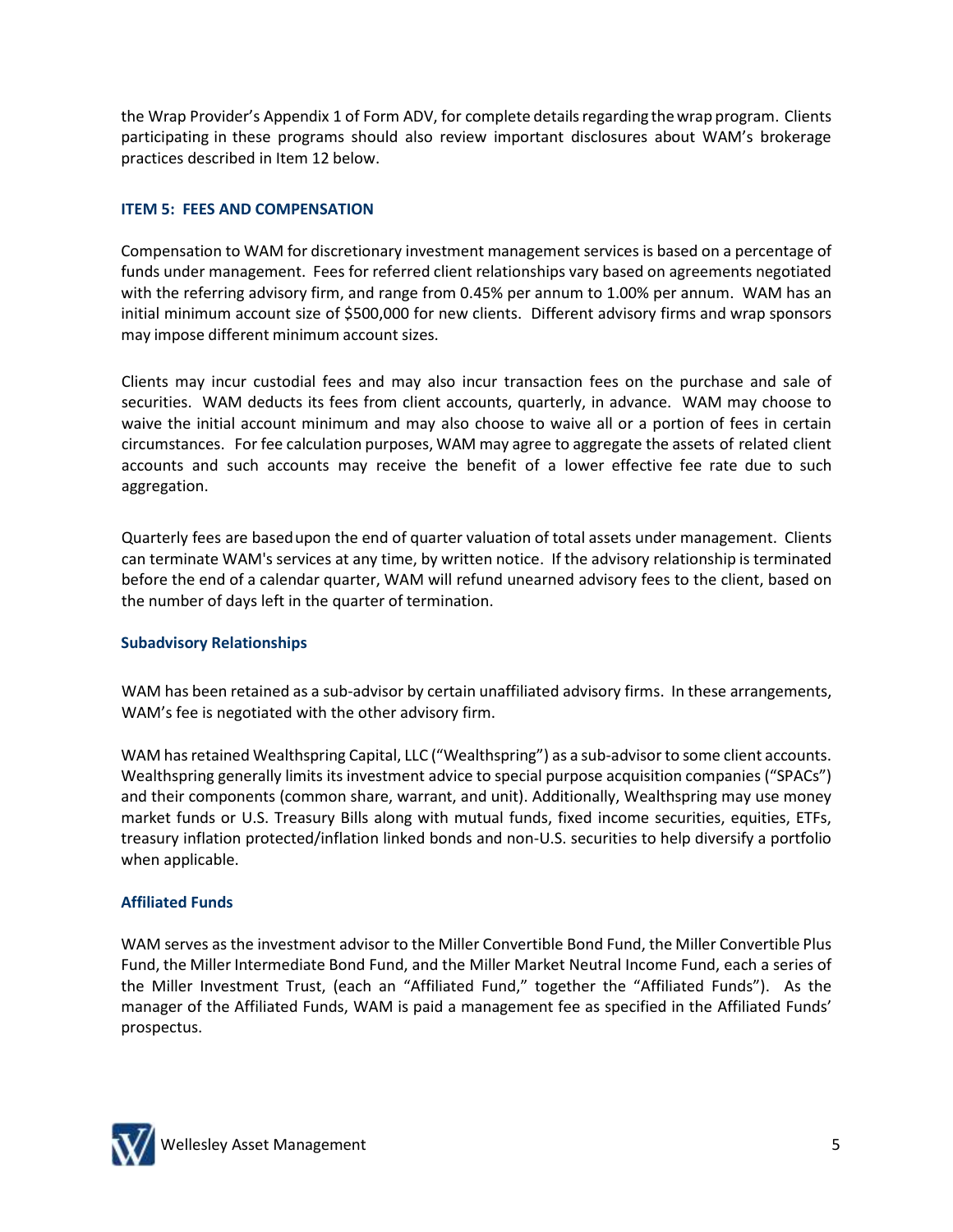the Wrap Provider's Appendix 1 of Form ADV, for complete detailsregarding thewrap program. Clients participating in these programs should also review important disclosures about WAM's brokerage practices described in Item 12 below.

# **ITEM 5: FEES AND COMPENSATION**

Compensation to WAM for discretionary investment management services is based on a percentage of funds under management. Fees for referred client relationships vary based on agreements negotiated with the referring advisory firm, and range from 0.45% per annum to 1.00% per annum. WAM has an initial minimum account size of \$500,000 for new clients. Different advisory firms and wrap sponsors may impose different minimum account sizes.

Clients may incur custodial fees and may also incur transaction fees on the purchase and sale of securities. WAM deducts its fees from client accounts, quarterly, in advance. WAM may choose to waive the initial account minimum and may also choose to waive all or a portion of fees in certain circumstances. For fee calculation purposes, WAM may agree to aggregate the assets of related client accounts and such accounts may receive the benefit of a lower effective fee rate due to such aggregation.

Quarterly fees are basedupon the end of quarter valuation of total assets under management. Clients can terminate WAM's services at any time, by written notice. If the advisory relationship is terminated before the end of a calendar quarter, WAM will refund unearned advisory fees to the client, based on the number of days left in the quarter of termination.

# **Subadvisory Relationships**

WAM has been retained as a sub-advisor by certain unaffiliated advisory firms. In these arrangements, WAM's fee is negotiated with the other advisory firm.

WAM has retained Wealthspring Capital, LLC ("Wealthspring") as a sub-advisor to some client accounts. Wealthspring generally limits its investment advice to special purpose acquisition companies ("SPACs") and their components (common share, warrant, and unit). Additionally, Wealthspring may use money market funds or U.S. Treasury Bills along with mutual funds, fixed income securities, equities, ETFs, treasury inflation protected/inflation linked bonds and non-U.S. securities to help diversify a portfolio when applicable.

# **Affiliated Funds**

WAM serves as the investment advisor to the Miller Convertible Bond Fund, the Miller Convertible Plus Fund, the Miller Intermediate Bond Fund, and the Miller Market Neutral Income Fund, each a series of the Miller Investment Trust, (each an "Affiliated Fund," together the "Affiliated Funds"). As the manager of the Affiliated Funds, WAM is paid a management fee as specified in the Affiliated Funds' prospectus.

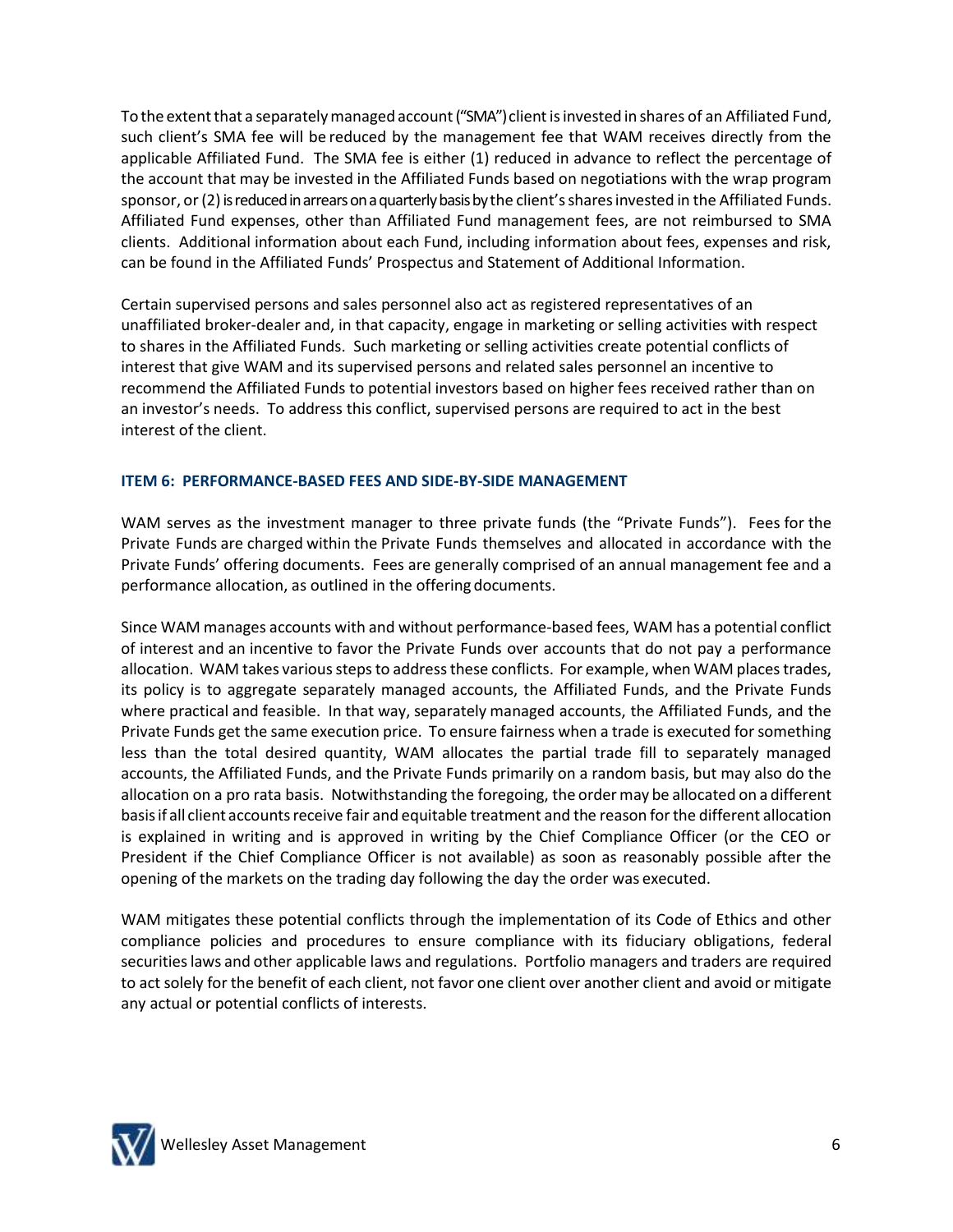To the extent that a separately managed account ("SMA") client is invested in shares of an Affiliated Fund, such client's SMA fee will be reduced by the management fee that WAM receives directly from the applicable Affiliated Fund. The SMA fee is either (1) reduced in advance to reflect the percentage of the account that may be invested in the Affiliated Funds based on negotiations with the wrap program sponsor, or (2) is reduced in arrears on a quarterly basis by the client's shares invested in the Affiliated Funds. Affiliated Fund expenses, other than Affiliated Fund management fees, are not reimbursed to SMA clients. Additional information about each Fund, including information about fees, expenses and risk, can be found in the Affiliated Funds' Prospectus and Statement of Additional Information.

Certain supervised persons and sales personnel also act as registered representatives of an unaffiliated broker-dealer and, in that capacity, engage in marketing or selling activities with respect to shares in the Affiliated Funds. Such marketing or selling activities create potential conflicts of interest that give WAM and its supervised persons and related sales personnel an incentive to recommend the Affiliated Funds to potential investors based on higher fees received rather than on an investor's needs. To address this conflict, supervised persons are required to act in the best interest of the client.

# **ITEM 6: PERFORMANCE-BASED FEES AND SIDE-BY-SIDE MANAGEMENT**

WAM serves as the investment manager to three private funds (the "Private Funds"). Fees for the Private Funds are charged within the Private Funds themselves and allocated in accordance with the Private Funds' offering documents. Fees are generally comprised of an annual management fee and a performance allocation, as outlined in the offering documents.

Since WAM manages accounts with and without performance-based fees, WAM has a potential conflict of interest and an incentive to favor the Private Funds over accounts that do not pay a performance allocation. WAM takes various steps to address these conflicts. For example, when WAM places trades, its policy is to aggregate separately managed accounts, the Affiliated Funds, and the Private Funds where practical and feasible. In that way, separately managed accounts, the Affiliated Funds, and the Private Funds get the same execution price. To ensure fairness when a trade is executed for something less than the total desired quantity, WAM allocates the partial trade fill to separately managed accounts, the Affiliated Funds, and the Private Funds primarily on a random basis, but may also do the allocation on a pro rata basis. Notwithstanding the foregoing, the ordermay be allocated on a different basisif all client accountsreceive fair and equitable treatment and the reason for the different allocation is explained in writing and is approved in writing by the Chief Compliance Officer (or the CEO or President if the Chief Compliance Officer is not available) as soon as reasonably possible after the opening of the markets on the trading day following the day the order was executed.

WAM mitigates these potential conflicts through the implementation of its Code of Ethics and other compliance policies and procedures to ensure compliance with its fiduciary obligations, federal securitieslaws and other applicable laws and regulations. Portfolio managers and traders are required to act solely for the benefit of each client, not favor one client over another client and avoid or mitigate any actual or potential conflicts of interests.

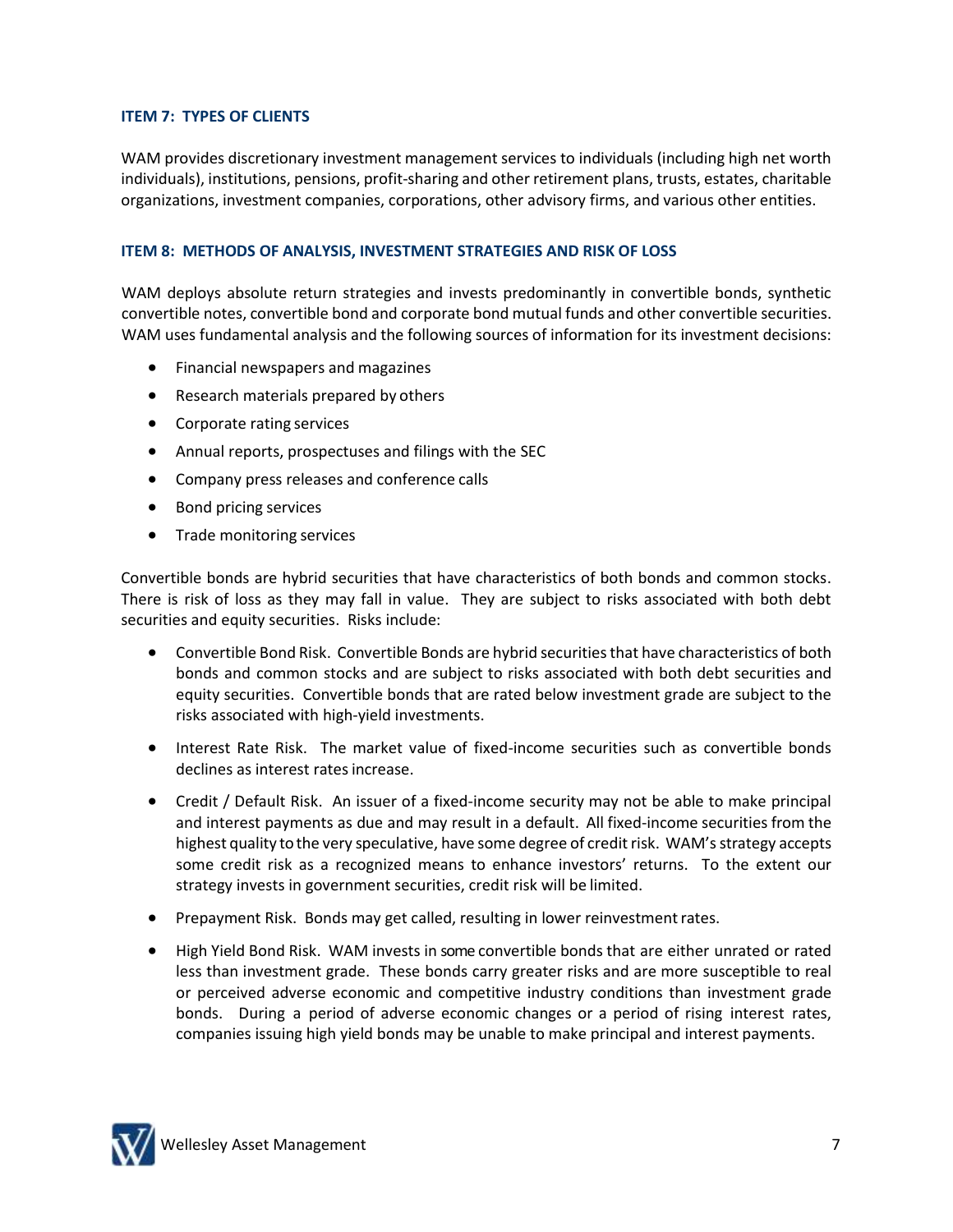# **ITEM 7: TYPES OF CLIENTS**

WAM provides discretionary investment management services to individuals (including high net worth individuals), institutions, pensions, profit-sharing and other retirement plans, trusts, estates, charitable organizations, investment companies, corporations, other advisory firms, and various other entities.

# **ITEM 8: METHODS OF ANALYSIS, INVESTMENT STRATEGIES AND RISK OF LOSS**

WAM deploys absolute return strategies and invests predominantly in convertible bonds, synthetic convertible notes, convertible bond and corporate bond mutual funds and other convertible securities. WAM uses fundamental analysis and the following sources of information for its investment decisions:

- Financial newspapers and magazines
- Research materials prepared by others
- Corporate rating services
- Annual reports, prospectuses and filings with the SEC
- Company press releases and conference calls
- Bond pricing services
- Trade monitoring services

Convertible bonds are hybrid securities that have characteristics of both bonds and common stocks. There is risk of loss as they may fall in value. They are subject to risks associated with both debt securities and equity securities. Risks include:

- Convertible Bond Risk. Convertible Bonds are hybrid securities that have characteristics of both bonds and common stocks and are subject to risks associated with both debt securities and equity securities. Convertible bonds that are rated below investment grade are subject to the risks associated with high-yield investments.
- Interest Rate Risk. The market value of fixed-income securities such as convertible bonds declines as interest rates increase.
- Credit / Default Risk. An issuer of a fixed-income security may not be able to make principal and interest payments as due and may result in a default. All fixed-income securities from the highest quality to the very speculative, have some degree of credit risk. WAM's strategy accepts some credit risk as a recognized means to enhance investors' returns. To the extent our strategy invests in government securities, credit risk will be limited.
- Prepayment Risk. Bonds may get called, resulting in lower reinvestmentrates.
- High Yield Bond Risk. WAM invests in some convertible bonds that are either unrated or rated less than investment grade. These bonds carry greater risks and are more susceptible to real or perceived adverse economic and competitive industry conditions than investment grade bonds. During a period of adverse economic changes or a period of rising interest rates, companies issuing high yield bonds may be unable to make principal and interest payments.

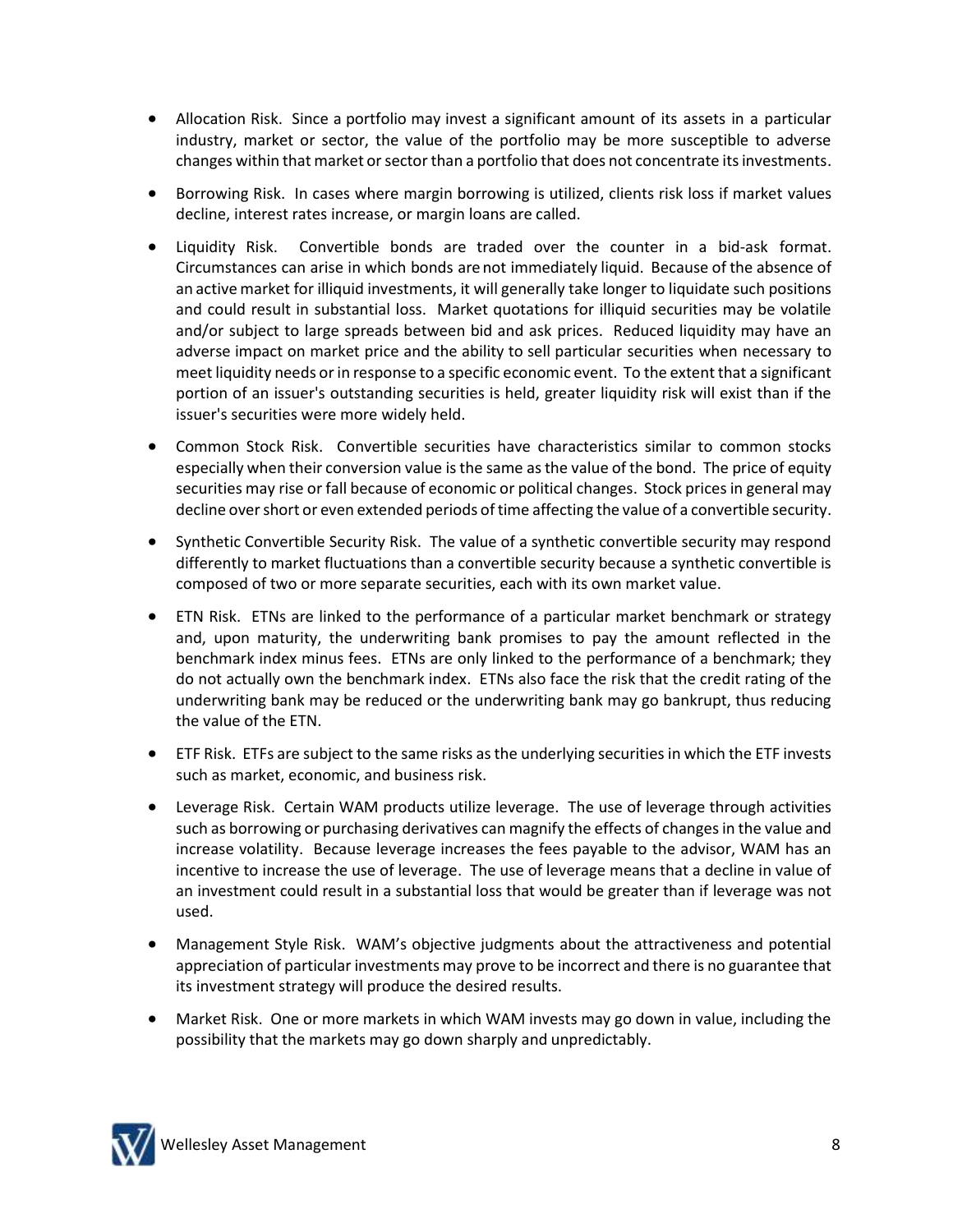- Allocation Risk. Since a portfolio may invest a significant amount of its assets in a particular industry, market or sector, the value of the portfolio may be more susceptible to adverse changes within that market or sector than a portfolio that does not concentrate its investments.
- Borrowing Risk. In cases where margin borrowing is utilized, clients risk loss if market values decline, interest rates increase, or margin loans are called.
- Liquidity Risk. Convertible bonds are traded over the counter in a bid-ask format. Circumstances can arise in which bonds are not immediately liquid. Because of the absence of an activemarket for illiquid investments, it will generally take longer to liquidate such positions and could result in substantial loss. Market quotations for illiquid securities may be volatile and/or subject to large spreads between bid and ask prices. Reduced liquidity may have an adverse impact on market price and the ability to sell particular securities when necessary to meet liquidity needs or in response to a specific economic event. To the extent that a significant portion of an issuer's outstanding securities is held, greater liquidity risk will exist than if the issuer's securities were more widely held.
- Common Stock Risk. Convertible securities have characteristics similar to common stocks especially when their conversion value is the same as the value of the bond. The price of equity securities may rise or fall because of economic or political changes. Stock prices in general may decline over short or even extended periods of time affecting the value of a convertible security.
- Synthetic Convertible Security Risk. The value of a synthetic convertible security may respond differently to market fluctuations than a convertible security because a synthetic convertible is composed of two or more separate securities, each with its own market value.
- ETN Risk. ETNs are linked to the performance of a particular market benchmark or strategy and, upon maturity, the underwriting bank promises to pay the amount reflected in the benchmark index minus fees. ETNs are only linked to the performance of a benchmark; they do not actually own the benchmark index. ETNs also face the risk that the credit rating of the underwriting bank may be reduced or the underwriting bank may go bankrupt, thus reducing the value of the ETN.
- ETF Risk. ETFs are subject to the same risks as the underlying securities in which the ETF invests such as market, economic, and business risk.
- Leverage Risk. Certain WAM products utilize leverage. The use of leverage through activities such as borrowing or purchasing derivatives can magnify the effects of changes in the value and increase volatility. Because leverage increases the fees payable to the advisor, WAM has an incentive to increase the use of leverage. The use of leverage means that a decline in value of an investment could result in a substantial loss that would be greater than if leverage was not used.
- Management Style Risk. WAM's objective judgments about the attractiveness and potential appreciation of particular investments may prove to be incorrect and there is no guarantee that its investment strategy will produce the desired results.
- Market Risk. One or more markets in which WAM invests may go down in value, including the possibility that the markets may go down sharply and unpredictably.

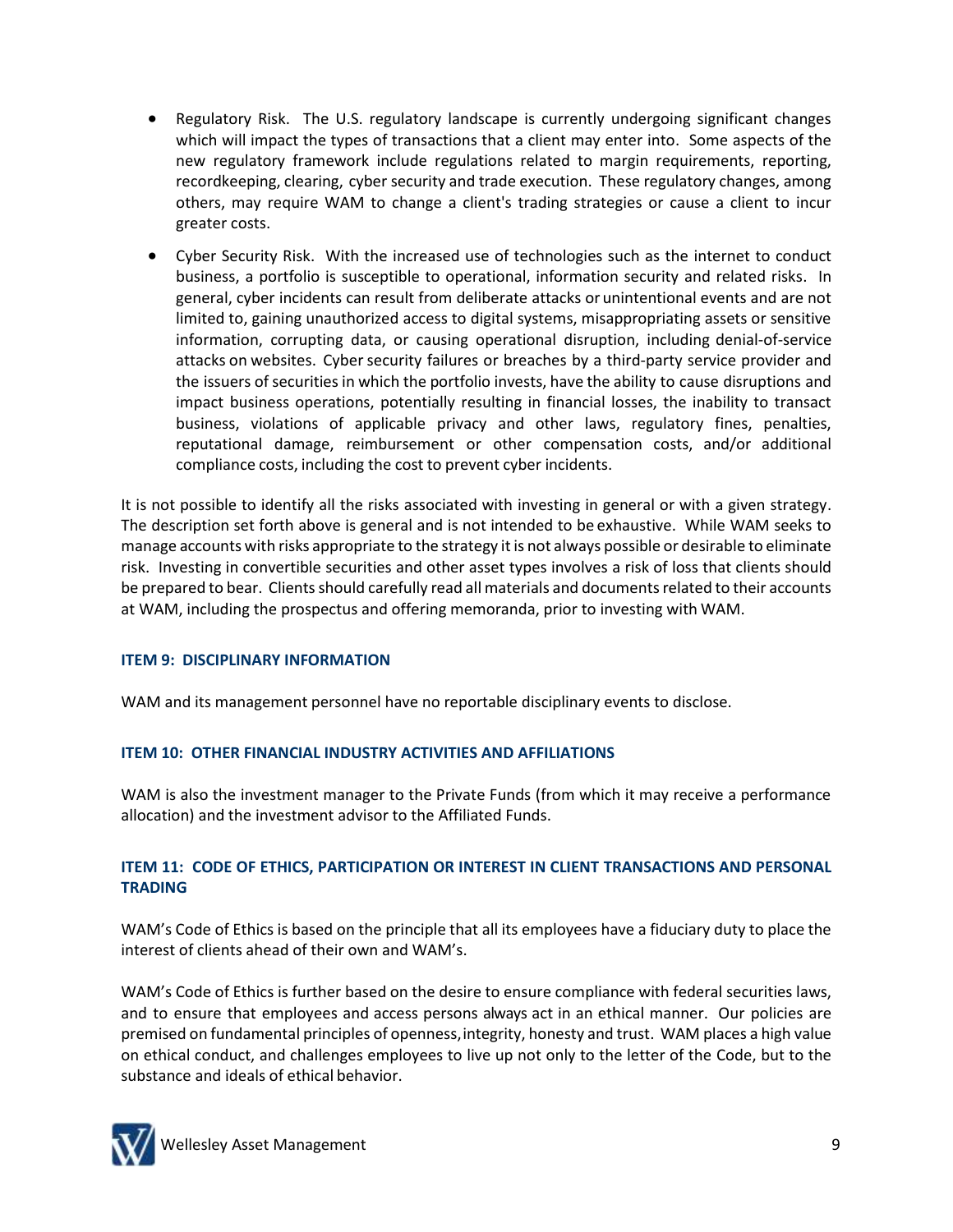- Regulatory Risk. The U.S. regulatory landscape is currently undergoing significant changes which will impact the types of transactions that a client may enter into. Some aspects of the new regulatory framework include regulations related to margin requirements, reporting, recordkeeping, clearing, cyber security and trade execution. These regulatory changes, among others, may require WAM to change a client's trading strategies or cause a client to incur greater costs.
- Cyber Security Risk. With the increased use of technologies such as the internet to conduct business, a portfolio is susceptible to operational, information security and related risks. In general, cyber incidents can result from deliberate attacks or unintentional events and are not limited to, gaining unauthorized access to digital systems, misappropriating assets or sensitive information, corrupting data, or causing operational disruption, including denial-of-service attacks on websites. Cyber security failures or breaches by a third-party service provider and the issuers of securities in which the portfolio invests, have the ability to cause disruptions and impact business operations, potentially resulting in financial losses, the inability to transact business, violations of applicable privacy and other laws, regulatory fines, penalties, reputational damage, reimbursement or other compensation costs, and/or additional compliance costs, including the cost to prevent cyber incidents.

It is not possible to identify all the risks associated with investing in general or with a given strategy. The description set forth above is general and is not intended to be exhaustive. While WAM seeks to manage accounts with risks appropriate to the strategy it is not always possible or desirable to eliminate risk. Investing in convertible securities and other asset types involves a risk of loss that clients should be prepared to bear. Clients should carefully read all materials and documents related to their accounts at WAM, including the prospectus and offering memoranda, prior to investing with WAM.

# **ITEM 9: DISCIPLINARY INFORMATION**

WAM and its management personnel have no reportable disciplinary events to disclose.

# **ITEM 10: OTHER FINANCIAL INDUSTRY ACTIVITIES AND AFFILIATIONS**

WAM is also the investment manager to the Private Funds (from which it may receive a performance allocation) and the investment advisor to the Affiliated Funds.

# **ITEM 11: CODE OF ETHICS, PARTICIPATION OR INTEREST IN CLIENT TRANSACTIONS AND PERSONAL TRADING**

WAM's Code of Ethics is based on the principle that all its employees have a fiduciary duty to place the interest of clients ahead of their own and WAM's.

WAM's Code of Ethics is further based on the desire to ensure compliance with federal securities laws, and to ensure that employees and access persons always act in an ethical manner. Our policies are premised on fundamental principles of openness,integrity, honesty and trust. WAM places a high value on ethical conduct, and challenges employees to live up not only to the letter of the Code, but to the substance and ideals of ethical behavior.

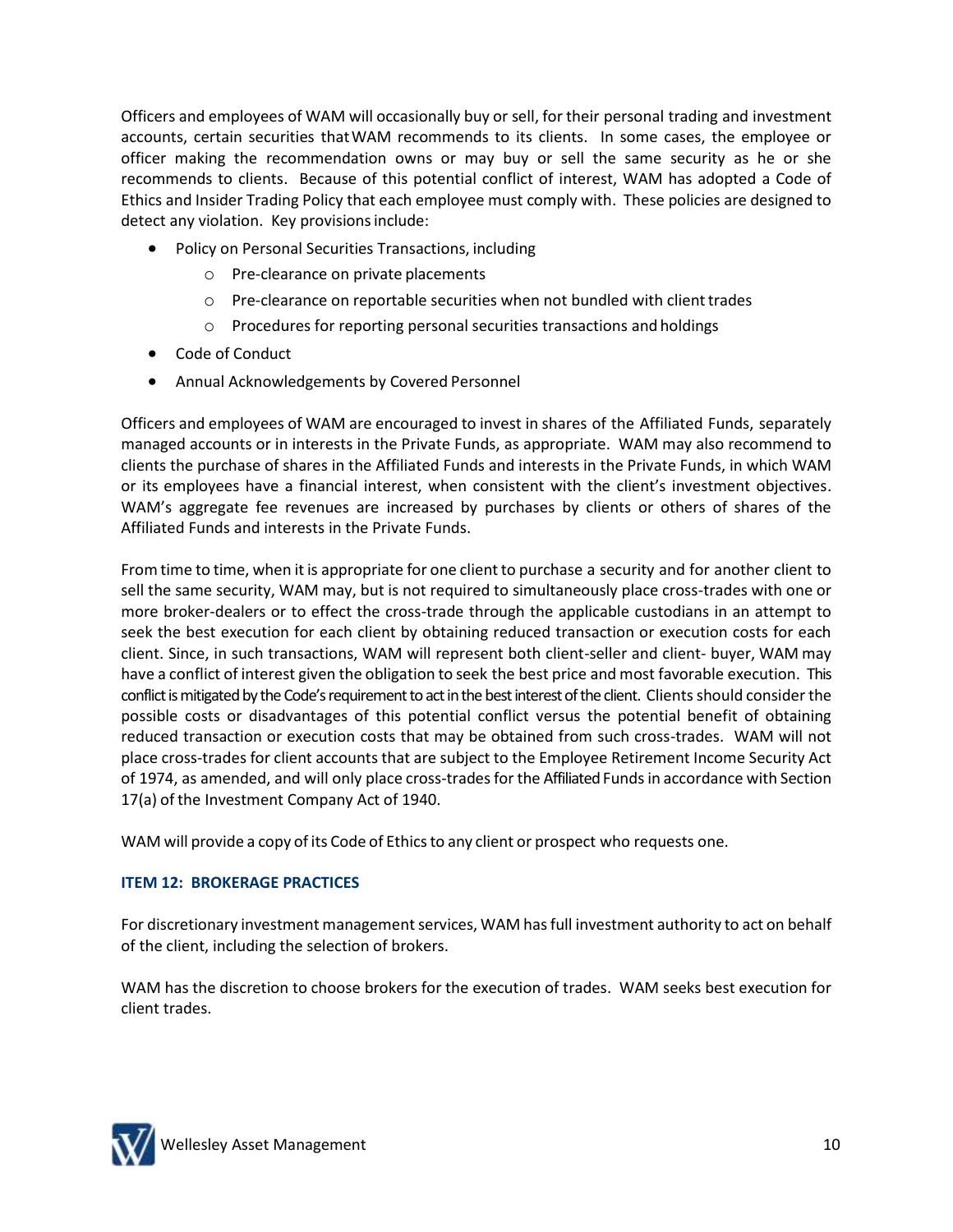Officers and employees of WAM will occasionally buy or sell, for their personal trading and investment accounts, certain securities thatWAM recommends to its clients. In some cases, the employee or officer making the recommendation owns or may buy or sell the same security as he or she recommends to clients. Because of this potential conflict of interest, WAM has adopted a Code of Ethics and Insider Trading Policy that each employee must comply with. These policies are designed to detect any violation. Key provisions include:

- Policy on Personal Securities Transactions, including
	- o Pre-clearance on private placements
	- $o$  Pre-clearance on reportable securities when not bundled with client trades
	- o Procedures for reporting personal securities transactions and holdings
- Code of Conduct
- Annual Acknowledgements by Covered Personnel

Officers and employees of WAM are encouraged to invest in shares of the Affiliated Funds, separately managed accounts or in interests in the Private Funds, as appropriate. WAM may also recommend to clients the purchase of shares in the Affiliated Funds and interests in the Private Funds, in which WAM or its employees have a financial interest, when consistent with the client's investment objectives. WAM's aggregate fee revenues are increased by purchases by clients or others of shares of the Affiliated Funds and interests in the Private Funds.

From time to time, when it is appropriate for one client to purchase a security and for another client to sell the same security, WAM may, but is not required to simultaneously place cross-trades with one or more broker-dealers or to effect the cross-trade through the applicable custodians in an attempt to seek the best execution for each client by obtaining reduced transaction or execution costs for each client. Since, in such transactions, WAM will represent both client-seller and client- buyer, WAM may have a conflict of interest given the obligation to seek the best price and most favorable execution. This conflict is mitigated by the Code's requirement to act in the best interest of the client. Clients should consider the possible costs or disadvantages of this potential conflict versus the potential benefit of obtaining reduced transaction or execution costs that may be obtained from such cross-trades. WAM will not place cross-trades for client accounts that are subject to the Employee Retirement Income Security Act of 1974, as amended, and will only place cross-tradesfor the Affiliated Fundsin accordance with Section 17(a) of the Investment Company Act of 1940.

WAM will provide a copy of its Code of Ethics to any client or prospect who requests one.

# **ITEM 12: BROKERAGE PRACTICES**

For discretionary investment management services, WAM has full investment authority to act on behalf of the client, including the selection of brokers.

WAM has the discretion to choose brokers for the execution of trades. WAM seeks best execution for client trades.

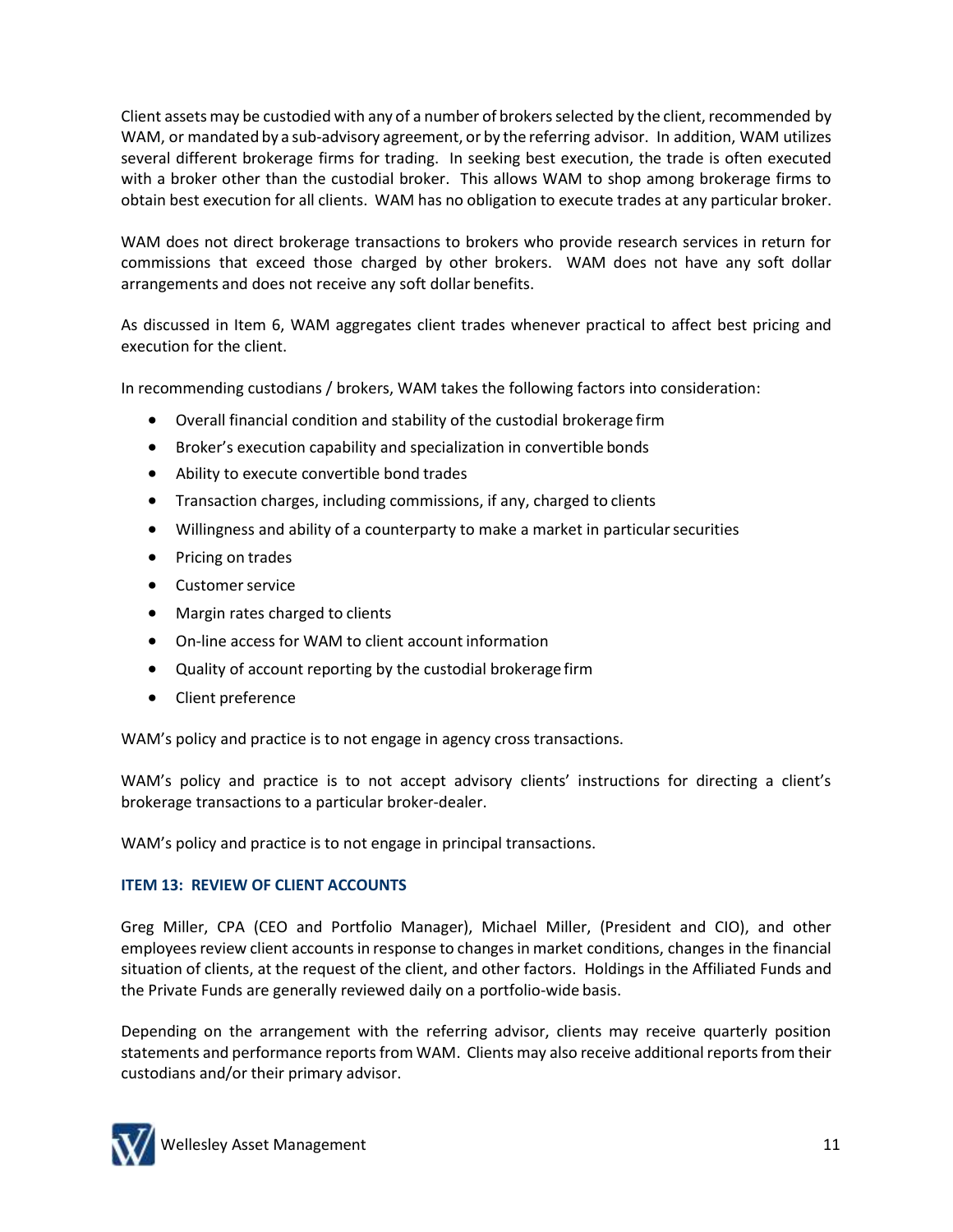Client assets may be custodied with any of a number of brokers selected by the client, recommended by WAM, or mandated by a sub-advisory agreement, or by the referring advisor. In addition, WAM utilizes several different brokerage firms for trading. In seeking best execution, the trade is often executed with a broker other than the custodial broker. This allows WAM to shop among brokerage firms to obtain best execution for all clients. WAM has no obligation to execute trades at any particular broker.

WAM does not direct brokerage transactions to brokers who provide research services in return for commissions that exceed those charged by other brokers. WAM does not have any soft dollar arrangements and does not receive any soft dollar benefits.

As discussed in Item 6, WAM aggregates client trades whenever practical to affect best pricing and execution for the client.

In recommending custodians / brokers, WAM takes the following factors into consideration:

- Overall financial condition and stability of the custodial brokerage firm
- Broker's execution capability and specialization in convertible bonds
- Ability to execute convertible bond trades
- Transaction charges, including commissions, if any, charged to clients
- Willingness and ability of a counterparty to make a market in particularsecurities
- Pricing on trades
- Customer service
- Margin rates charged to clients
- On-line access for WAM to client account information
- Quality of account reporting by the custodial brokerage firm
- Client preference

WAM's policy and practice is to not engage in agency cross transactions.

WAM's policy and practice is to not accept advisory clients' instructions for directing a client's brokerage transactions to a particular broker-dealer.

WAM's policy and practice is to not engage in principal transactions.

# **ITEM 13: REVIEW OF CLIENT ACCOUNTS**

Greg Miller, CPA (CEO and Portfolio Manager), Michael Miller, (President and CIO), and other employees review client accounts in response to changes in market conditions, changes in the financial situation of clients, at the request of the client, and other factors. Holdings in the Affiliated Funds and the Private Funds are generally reviewed daily on a portfolio-wide basis.

Depending on the arrangement with the referring advisor, clients may receive quarterly position statements and performance reports from WAM. Clients may also receive additional reports from their custodians and/or their primary advisor.

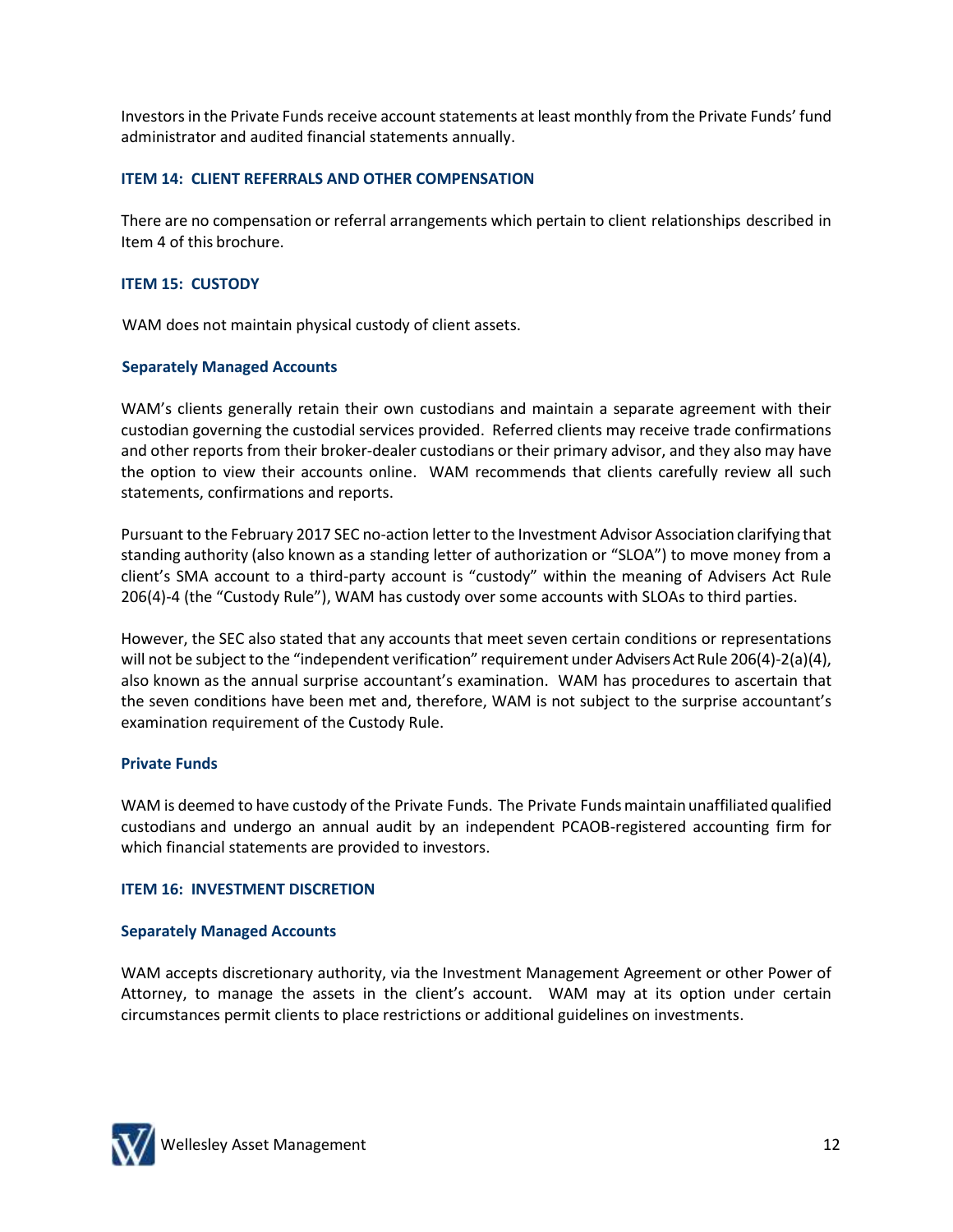Investors in the Private Funds receive account statements at least monthly from the Private Funds' fund administrator and audited financial statements annually.

## **ITEM 14: CLIENT REFERRALS AND OTHER COMPENSATION**

There are no compensation or referral arrangements which pertain to client relationships described in Item 4 of this brochure.

## **ITEM 15: CUSTODY**

WAM does not maintain physical custody of client assets.

## **Separately Managed Accounts**

WAM's clients generally retain their own custodians and maintain a separate agreement with their custodian governing the custodial services provided. Referred clients may receive trade confirmations and other reports from their broker-dealer custodians or their primary advisor, and they also may have the option to view their accounts online. WAM recommends that clients carefully review all such statements, confirmations and reports.

Pursuant to the February 2017 SEC no-action letter to the Investment Advisor Association clarifying that standing authority (also known as a standing letter of authorization or "SLOA") to move money from a client's SMA account to a third-party account is "custody" within the meaning of Advisers Act Rule 206(4)-4 (the "Custody Rule"), WAM has custody over some accounts with SLOAs to third parties.

However, the SEC also stated that any accounts that meet seven certain conditions or representations will not be subject to the "independent verification" requirement under Advisers Act Rule 206(4)-2(a)(4), also known as the annual surprise accountant's examination. WAM has procedures to ascertain that the seven conditions have been met and, therefore, WAM is not subject to the surprise accountant's examination requirement of the Custody Rule.

## **Private Funds**

WAM is deemed to have custody of the Private Funds. The Private Funds maintain unaffiliated qualified custodians and undergo an annual audit by an independent PCAOB-registered accounting firm for which financial statements are provided to investors.

## **ITEM 16: INVESTMENT DISCRETION**

## **Separately Managed Accounts**

WAM accepts discretionary authority, via the Investment Management Agreement or other Power of Attorney, to manage the assets in the client's account. WAM may at its option under certain circumstances permit clients to place restrictions or additional guidelines on investments.